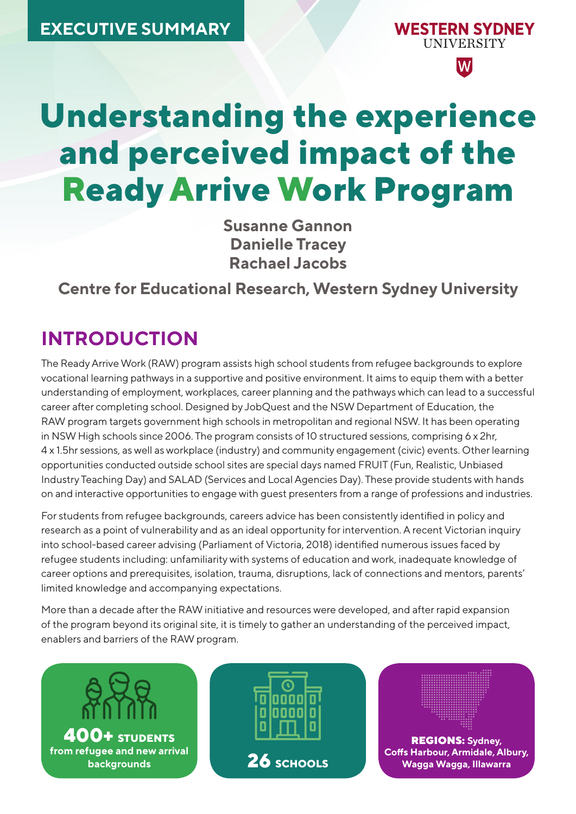

**Understanding the experience and perceived impact of the Ready Arrive Work Program** 

> **Susanne Gannon Danielle Tracey Rachael Jacobs**

**Centre for Educational Research, Western Sydney University**

# **INTRODUCTION**

The Ready Arrive Work (RAW) program assists high school students from refugee backgrounds to explore vocational learning pathways in a supportive and positive environment. It aims to equip them with a better understanding of employment, workplaces, career planning and the pathways which can lead to a successful career after completing school. Designed by JobQuest and the NSW Department of Education, the RAW program targets government high schools in metropolitan and regional NSW. It has been operating in NSW High schools since 2006. The program consists of 10 structured sessions, comprising 6 x 2hr, 4 x 1.5hr sessions, as well as workplace (industry) and community engagement (civic) events. Other learning opportunities conducted outside school sites are special days named FRUIT (Fun, Realistic, Unbiased Industry Teaching Day) and SALAD (Services and Local Agencies Day). These provide students with hands on and interactive opportunities to engage with guest presenters from a range of professions and industries.

For students from refugee backgrounds, careers advice has been consistently identified in policy and research as a point of vulnerability and as an ideal opportunity for intervention. A recent Victorian inquiry into school-based career advising (Parliament of Victoria, 2018) identified numerous issues faced by refugee students including: unfamiliarity with systems of education and work, inadequate knowledge of career options and prerequisites, isolation, trauma, disruptions, lack of connections and mentors, parents' limited knowledge and accompanying expectations.

More than a decade after the RAW initiative and resources were developed, and after rapid expansion of the program beyond its original site, it is timely to gather an understanding of the perceived impact, enablers and barriers of the RAW program.





REGIONS: **Sydney, Coffs Harbour, Armidale, Albury, Wagga Wagga, Illawarra**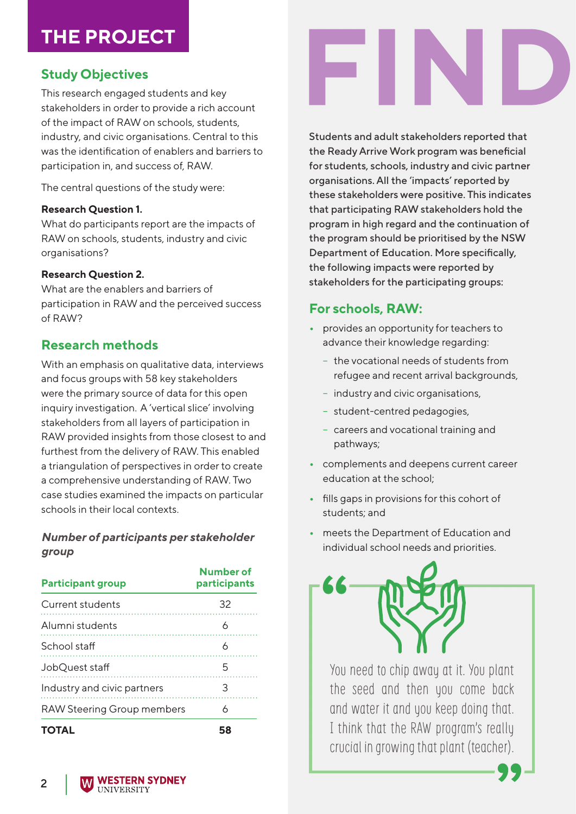# **THE PROJECT**

# **Study Objectives**

This research engaged students and key stakeholders in order to provide a rich account of the impact of RAW on schools, students, industry, and civic organisations. Central to this was the identification of enablers and barriers to participation in, and success of, RAW.

The central questions of the study were:

#### **Research Question 1.**

What do participants report are the impacts of RAW on schools, students, industry and civic organisations?

#### **Research Question 2.**

What are the enablers and barriers of participation in RAW and the perceived success of RAW?

## **Research methods**

With an emphasis on qualitative data, interviews and focus groups with 58 key stakeholders were the primary source of data for this open inquiry investigation. A 'vertical slice' involving stakeholders from all layers of participation in RAW provided insights from those closest to and furthest from the delivery of RAW. This enabled a triangulation of perspectives in order to create a comprehensive understanding of RAW. Two case studies examined the impacts on particular schools in their local contexts.

#### *Number of participants per stakeholder group*

| <b>Participant group</b>          | <b>Number of</b><br>participants |
|-----------------------------------|----------------------------------|
| Current students                  | 32                               |
| Alumni students                   |                                  |
| School staff                      |                                  |
| JobQuest staff                    |                                  |
| Industry and civic partners       | 3                                |
| <b>RAW Steering Group members</b> | Ь                                |
|                                   |                                  |



Students and adult stakeholders reported that the Ready Arrive Work program was beneficial for students, schools, industry and civic partner organisations. All the 'impacts' reported by these stakeholders were positive. This indicates that participating RAW stakeholders hold the program in high regard and the continuation of the program should be prioritised by the NSW Department of Education. More specifically, the following impacts were reported by stakeholders for the participating groups:

# **For schools, RAW:**

- **•** provides an opportunity for teachers to advance their knowledge regarding:
	- the vocational needs of students from refugee and recent arrival backgrounds,
	- industry and civic organisations,
	- student-centred pedagogies,
	- careers and vocational training and pathways;
- **•** complements and deepens current career education at the school;
- **•** fills gaps in provisions for this cohort of students; and
- **•** meets the Department of Education and individual school needs and priorities.



You need to chip away at it. You plant the seed and then you come back and water it and you keep doing that. I think that the RAW program's really crucial in growing that plant (teacher).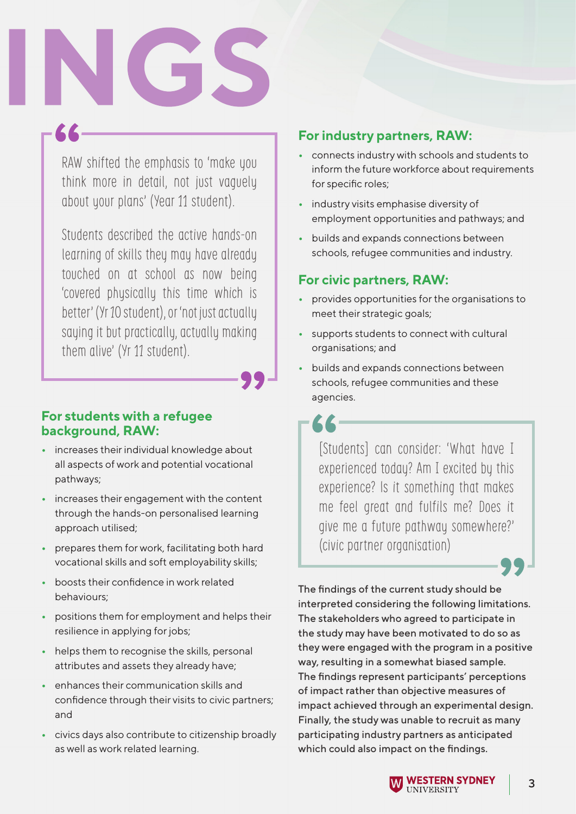RAW shifted the emphasis to 'make you think more in detail, not just vaguely about your plans' (Year 11 student).

Students described the active hands-on learning of skills they may have already touched on at school as now being 'covered physically this time which is better' (Yr 10 student), or 'not just actually saying it but practically, actually making them alive' (Yr 11 student).

## **For students with a refugee background, RAW:**

- **•** increases their individual knowledge about all aspects of work and potential vocational pathways;
- **•** increases their engagement with the content through the hands-on personalised learning approach utilised;
- **•** prepares them for work, facilitating both hard vocational skills and soft employability skills;
- **•** boosts their confidence in work related behaviours;
- **•** positions them for employment and helps their resilience in applying for jobs;
- **•** helps them to recognise the skills, personal attributes and assets they already have;
- **•** enhances their communication skills and confidence through their visits to civic partners; and
- **•** civics days also contribute to citizenship broadly as well as work related learning.

## **For industry partners, RAW:**

- **•** connects industry with schools and students to inform the future workforce about requirements for specific roles;
- **•** industry visits emphasise diversity of employment opportunities and pathways; and
- **•** builds and expands connections between schools, refugee communities and industry.

## **For civic partners, RAW:**

- **•** provides opportunities for the organisations to meet their strategic goals;
- **•** supports students to connect with cultural organisations; and
- **•** builds and expands connections between schools, refugee communities and these agencies.

[Students] can consider: 'What have I experienced today? Am I excited by this experience? Is it something that makes me feel great and fulfils me? Does it give me a future pathway somewhere?' (civic partner organisation)

The findings of the current study should be interpreted considering the following limitations. The stakeholders who agreed to participate in the study may have been motivated to do so as they were engaged with the program in a positive way, resulting in a somewhat biased sample. The findings represent participants' perceptions of impact rather than objective measures of impact achieved through an experimental design. Finally, the study was unable to recruit as many participating industry partners as anticipated which could also impact on the findings.